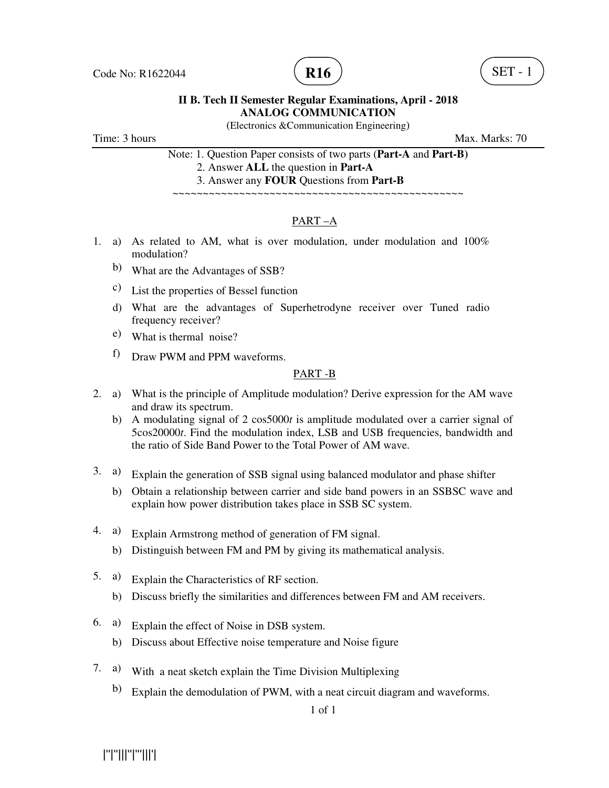

(Electronics &Communication Engineering)

Time: 3 hours Max. Marks: 70

Note: 1. Question Paper consists of two parts (**Part-A** and **Part-B)** 2. Answer **ALL** the question in **Part-A**

3. Answer any **FOUR** Questions from **Part-B**

~~~~~~~~~~~~~~~~~~~~~~~~~~~~~~~~~~~~~~~~~~~~~~~~

# PART –A

- 1. a) As related to AM, what is over modulation, under modulation and 100% modulation?
	- b) What are the Advantages of SSB?
	- c) List the properties of Bessel function
	- d) What are the advantages of Superhetrodyne receiver over Tuned radio frequency receiver?
	- e) What is thermal noise?
	- f) Draw PWM and PPM waveforms.

### PART -B

- 2. a) What is the principle of Amplitude modulation? Derive expression for the AM wave and draw its spectrum.
	- b) A modulating signal of 2 cos5000*t* is amplitude modulated over a carrier signal of 5cos20000*t*. Find the modulation index, LSB and USB frequencies, bandwidth and the ratio of Side Band Power to the Total Power of AM wave.
- 3. a) Explain the generation of SSB signal using balanced modulator and phase shifter
	- b) Obtain a relationship between carrier and side band powers in an SSBSC wave and explain how power distribution takes place in SSB SC system.
- 4. a) Explain Armstrong method of generation of FM signal.
	- b) Distinguish between FM and PM by giving its mathematical analysis.
- 5. a) Explain the Characteristics of RF section.
	- b) Discuss briefly the similarities and differences between FM and AM receivers.
- 6. a) Explain the effect of Noise in DSB system.
	- b) Discuss about Effective noise temperature and Noise figure
- 7. a) With a neat sketch explain the Time Division Multiplexing
	- b) Explain the demodulation of PWM, with a neat circuit diagram and waveforms.

|''|''|||''|'''|||'|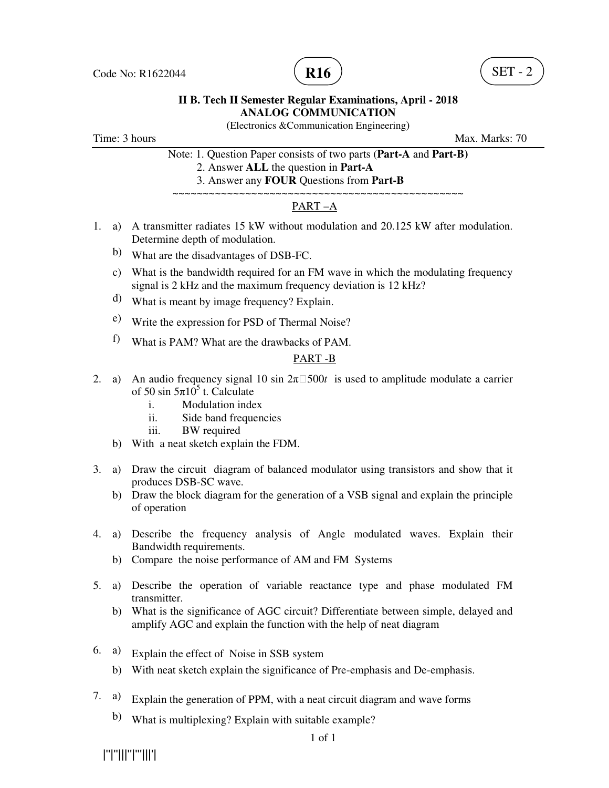

(Electronics &Communication Engineering)

Time: 3 hours Max. Marks: 70

Note: 1. Question Paper consists of two parts (**Part-A** and **Part-B)**

- 2. Answer **ALL** the question in **Part-A**
- 3. Answer any **FOUR** Questions from **Part-B** ~~~~~~~~~~~~~~~~~~~~~~~~~~~~~~~~~~~~~~~~~~~~~~~~

# PART –A

- 1. a) A transmitter radiates 15 kW without modulation and 20.125 kW after modulation. Determine depth of modulation.
	- b) What are the disadvantages of DSB-FC.
	- c) What is the bandwidth required for an FM wave in which the modulating frequency signal is 2 kHz and the maximum frequency deviation is 12 kHz?
	- d) What is meant by image frequency? Explain.
	- e) Write the expression for PSD of Thermal Noise?
	- f) What is PAM? What are the drawbacks of PAM.

#### PART -B

- 2. a) An audio frequency signal 10 sin  $2\pi$  500*t* is used to amplitude modulate a carrier of 50 sin  $5\pi 10^5$  t. Calculate
	- i. Modulation index
	- ii. Side band frequencies
	- iii. BW required
	- b) With a neat sketch explain the FDM.
- 3. a) Draw the circuit diagram of balanced modulator using transistors and show that it produces DSB-SC wave.
	- b) Draw the block diagram for the generation of a VSB signal and explain the principle of operation
- 4. a) Describe the frequency analysis of Angle modulated waves. Explain their Bandwidth requirements.
	- b) Compare the noise performance of AM and FM Systems
- 5. a) Describe the operation of variable reactance type and phase modulated FM transmitter.
	- b) What is the significance of AGC circuit? Differentiate between simple, delayed and amplify AGC and explain the function with the help of neat diagram
- 6. a) Explain the effect of Noise in SSB system
	- b) With neat sketch explain the significance of Pre-emphasis and De-emphasis.
- 7. a) Explain the generation of PPM, with a neat circuit diagram and wave forms
	- b) What is multiplexing? Explain with suitable example?

|''|''|||''|'''|||'|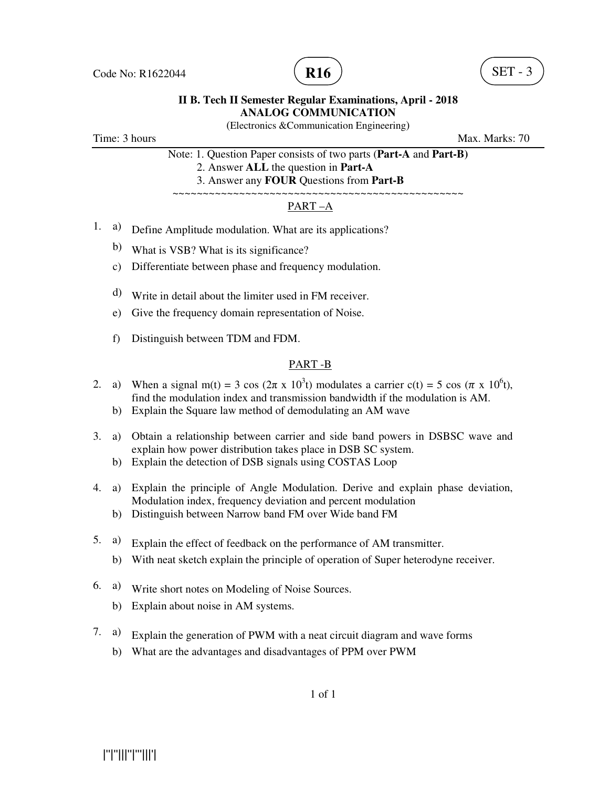

(Electronics &Communication Engineering)

Time: 3 hours Max. Marks: 70

Note: 1. Question Paper consists of two parts (**Part-A** and **Part-B)**

2. Answer **ALL** the question in **Part-A**

 3. Answer any **FOUR** Questions from **Part-B** ~~~~~~~~~~~~~~~~~~~~~~~~~~~~~~~~~~~~~~~~~~~~~~~~

# PART –A

- 1. a) Define Amplitude modulation. What are its applications?
	- b) What is VSB? What is its significance?
	- c) Differentiate between phase and frequency modulation.
	- d) Write in detail about the limiter used in FM receiver.
	- e) Give the frequency domain representation of Noise.
	- f) Distinguish between TDM and FDM.

# PART -B

- 2. a) When a signal m(t) = 3 cos ( $2\pi \times 10^3$ t) modulates a carrier c(t) = 5 cos ( $\pi \times 10^6$ t), find the modulation index and transmission bandwidth if the modulation is AM.
	- b) Explain the Square law method of demodulating an AM wave
- 3. a) Obtain a relationship between carrier and side band powers in DSBSC wave and explain how power distribution takes place in DSB SC system.
	- b) Explain the detection of DSB signals using COSTAS Loop
- 4. a) Explain the principle of Angle Modulation. Derive and explain phase deviation, Modulation index, frequency deviation and percent modulation
	- b) Distinguish between Narrow band FM over Wide band FM
- 5. a) Explain the effect of feedback on the performance of AM transmitter.
	- b) With neat sketch explain the principle of operation of Super heterodyne receiver.
- 6. a) Write short notes on Modeling of Noise Sources.
	- b) Explain about noise in AM systems.
- 7. a) Explain the generation of PWM with a neat circuit diagram and wave forms
	- b) What are the advantages and disadvantages of PPM over PWM